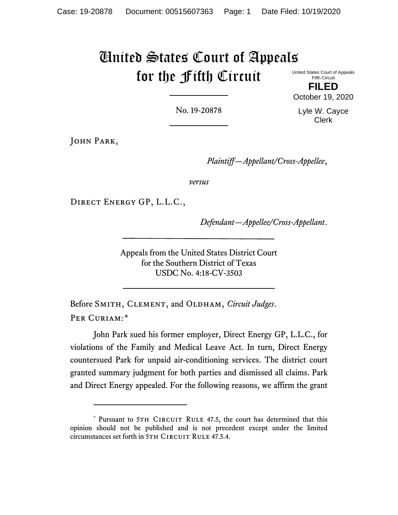# United States Court of Appeals for the Fifth Circuit

United States Court of Appeals Fifth Circuit

**FILED** October 19, 2020

No. 19-20878

Lyle W. Cayce Clerk

John Park,

*Plaintiff—Appellant/Cross-Appellee*,

*versus*

Direct Energy GP, L.L.C.,

*Defendant—Appellee/Cross-Appellant*.

Appeals from the United States District Court for the Southern District of Texas USDC No. 4:18-CV-3503

Before SMITH, CLEMENT, and OLDHAM, *Circuit Judges*. PER CURIAM:[\\*](#page-0-0)

John Park sued his former employer, Direct Energy GP, L.L.C., for violations of the Family and Medical Leave Act. In turn, Direct Energy countersued Park for unpaid air-conditioning services. The district court granted summary judgment for both parties and dismissed all claims. Park and Direct Energy appealed. For the following reasons, we affirm the grant

<span id="page-0-0"></span><sup>\*</sup> Pursuant to 5TH CIRCUIT RULE 47.5, the court has determined that this opinion should not be published and is not precedent except under the limited circumstances set forth in 5TH CIRCUIT RULE 47.5.4.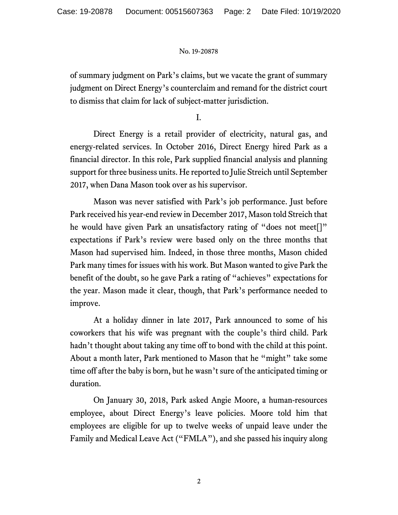of summary judgment on Park's claims, but we vacate the grant of summary judgment on Direct Energy's counterclaim and remand for the district court to dismiss that claim for lack of subject-matter jurisdiction.

I.

Direct Energy is a retail provider of electricity, natural gas, and energy-related services. In October 2016, Direct Energy hired Park as a financial director. In this role, Park supplied financial analysis and planning support for three business units. He reported to Julie Streich until September 2017, when Dana Mason took over as his supervisor.

Mason was never satisfied with Park's job performance. Just before Park received his year-end review in December 2017, Mason told Streich that he would have given Park an unsatisfactory rating of "does not meet[]" expectations if Park's review were based only on the three months that Mason had supervised him. Indeed, in those three months, Mason chided Park many times for issues with his work. But Mason wanted to give Park the benefit of the doubt, so he gave Park a rating of "achieves" expectations for the year. Mason made it clear, though, that Park's performance needed to improve.

At a holiday dinner in late 2017, Park announced to some of his coworkers that his wife was pregnant with the couple's third child. Park hadn't thought about taking any time off to bond with the child at this point. About a month later, Park mentioned to Mason that he "might" take some time off after the baby is born, but he wasn't sure of the anticipated timing or duration.

On January 30, 2018, Park asked Angie Moore, a human-resources employee, about Direct Energy's leave policies. Moore told him that employees are eligible for up to twelve weeks of unpaid leave under the Family and Medical Leave Act ("FMLA"), and she passed his inquiry along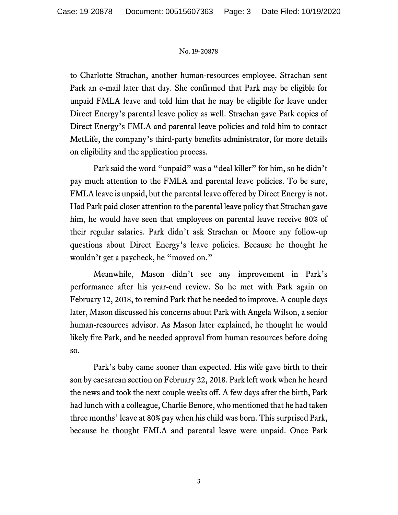to Charlotte Strachan, another human-resources employee. Strachan sent Park an e-mail later that day. She confirmed that Park may be eligible for unpaid FMLA leave and told him that he may be eligible for leave under Direct Energy's parental leave policy as well. Strachan gave Park copies of Direct Energy's FMLA and parental leave policies and told him to contact MetLife, the company's third-party benefits administrator, for more details on eligibility and the application process.

Park said the word "unpaid" was a "deal killer" for him, so he didn't pay much attention to the FMLA and parental leave policies. To be sure, FMLA leave is unpaid, but the parental leave offered by Direct Energy is not. Had Park paid closer attention to the parental leave policy that Strachan gave him, he would have seen that employees on parental leave receive 80% of their regular salaries. Park didn't ask Strachan or Moore any follow-up questions about Direct Energy's leave policies. Because he thought he wouldn't get a paycheck, he "moved on."

Meanwhile, Mason didn't see any improvement in Park's performance after his year-end review. So he met with Park again on February 12, 2018, to remind Park that he needed to improve. A couple days later, Mason discussed his concerns about Park with Angela Wilson, a senior human-resources advisor. As Mason later explained, he thought he would likely fire Park, and he needed approval from human resources before doing so.

Park's baby came sooner than expected. His wife gave birth to their son by caesarean section on February 22, 2018. Park left work when he heard the news and took the next couple weeks off. A few days after the birth, Park had lunch with a colleague, Charlie Benore, who mentioned that he had taken three months' leave at 80% pay when his child was born. This surprised Park, because he thought FMLA and parental leave were unpaid. Once Park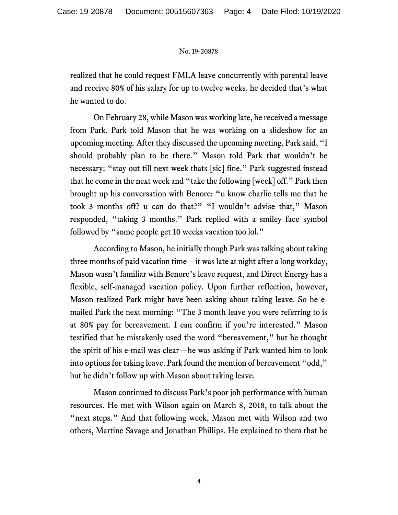realized that he could request FMLA leave concurrently with parental leave and receive 80% of his salary for up to twelve weeks, he decided that's what he wanted to do.

On February 28, while Mason was working late, he received a message from Park. Park told Mason that he was working on a slideshow for an upcoming meeting. After they discussed the upcoming meeting, Park said, "I should probably plan to be there." Mason told Park that wouldn't be necessary: "stay out till next week thats [sic] fine." Park suggested instead that he come in the next week and "take the following [week] off." Park then brought up his conversation with Benore: "u know charlie tells me that he took 3 months off? u can do that?" "I wouldn't advise that," Mason responded, "taking 3 months." Park replied with a smiley face symbol followed by "some people get 10 weeks vacation too lol."

According to Mason, he initially though Park was talking about taking three months of paid vacation time—it was late at night after a long workday, Mason wasn't familiar with Benore's leave request, and Direct Energy has a flexible, self-managed vacation policy. Upon further reflection, however, Mason realized Park might have been asking about taking leave. So he emailed Park the next morning: "The 3 month leave you were referring to is at 80% pay for bereavement. I can confirm if you're interested." Mason testified that he mistakenly used the word "bereavement," but he thought the spirit of his e-mail was clear—he was asking if Park wanted him to look into options for taking leave. Park found the mention of bereavement "odd," but he didn't follow up with Mason about taking leave.

Mason continued to discuss Park's poor job performance with human resources. He met with Wilson again on March 8, 2018, to talk about the "next steps." And that following week, Mason met with Wilson and two others, Martine Savage and Jonathan Phillips. He explained to them that he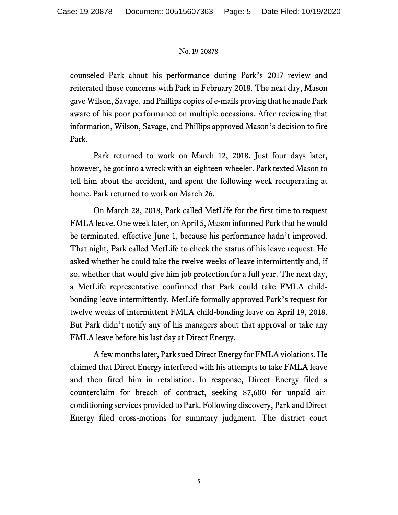counseled Park about his performance during Park's 2017 review and reiterated those concerns with Park in February 2018. The next day, Mason gave Wilson, Savage, and Phillips copies of e-mails proving that he made Park aware of his poor performance on multiple occasions. After reviewing that information, Wilson, Savage, and Phillips approved Mason's decision to fire Park.

Park returned to work on March 12, 2018. Just four days later, however, he got into a wreck with an eighteen-wheeler. Park texted Mason to tell him about the accident, and spent the following week recuperating at home. Park returned to work on March 26.

On March 28, 2018, Park called MetLife for the first time to request FMLA leave. One week later, on April 5, Mason informed Park that he would be terminated, effective June 1, because his performance hadn't improved. That night, Park called MetLife to check the status of his leave request. He asked whether he could take the twelve weeks of leave intermittently and, if so, whether that would give him job protection for a full year. The next day, a MetLife representative confirmed that Park could take FMLA childbonding leave intermittently. MetLife formally approved Park's request for twelve weeks of intermittent FMLA child-bonding leave on April 19, 2018. But Park didn't notify any of his managers about that approval or take any FMLA leave before his last day at Direct Energy.

A few months later, Park sued Direct Energy for FMLA violations. He claimed that Direct Energy interfered with his attempts to take FMLA leave and then fired him in retaliation. In response, Direct Energy filed a counterclaim for breach of contract, seeking \$7,600 for unpaid airconditioning services provided to Park. Following discovery, Park and Direct Energy filed cross-motions for summary judgment. The district court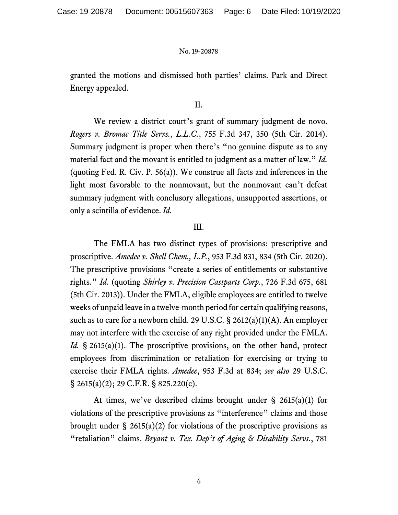granted the motions and dismissed both parties' claims. Park and Direct Energy appealed.

# II.

We review a district court's grant of summary judgment de novo. *Rogers v. Bromac Title Servs., L.L.C.*, 755 F.3d 347, 350 (5th Cir. 2014). Summary judgment is proper when there's "no genuine dispute as to any material fact and the movant is entitled to judgment as a matter of law." *Id.* (quoting Fed. R. Civ. P. 56(a)). We construe all facts and inferences in the light most favorable to the nonmovant, but the nonmovant can't defeat summary judgment with conclusory allegations, unsupported assertions, or only a scintilla of evidence. *Id.*

# III.

The FMLA has two distinct types of provisions: prescriptive and proscriptive. *Amedee v. Shell Chem., L.P.*, 953 F.3d 831, 834 (5th Cir. 2020). The prescriptive provisions "create a series of entitlements or substantive rights." *Id.* (quoting *Shirley v. Precision Castparts Corp.*, 726 F.3d 675, 681 (5th Cir. 2013)). Under the FMLA, eligible employees are entitled to twelve weeks of unpaid leave in a twelve-month period for certain qualifying reasons, such as to care for a newborn child. 29 U.S.C. § 2612(a)(1)(A). An employer may not interfere with the exercise of any right provided under the FMLA. *Id.* § 2615(a)(1). The proscriptive provisions, on the other hand, protect employees from discrimination or retaliation for exercising or trying to exercise their FMLA rights. *Amedee*, 953 F.3d at 834; *see also* 29 U.S.C. § 2615(a)(2); 29 C.F.R. § 825.220(c).

At times, we've described claims brought under  $\S$  2615(a)(1) for violations of the prescriptive provisions as "interference" claims and those brought under  $\S$  2615(a)(2) for violations of the proscriptive provisions as "retaliation" claims. *Bryant v. Tex. Dep't of Aging & Disability Servs.*, 781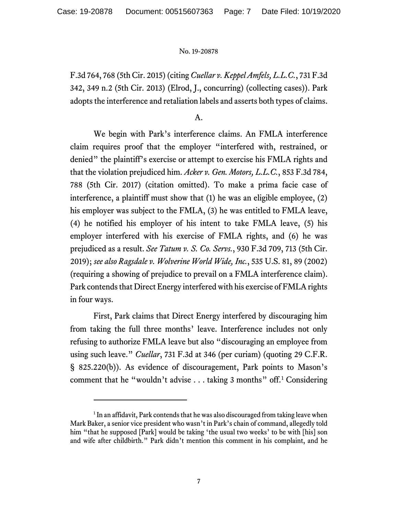F.3d 764, 768 (5th Cir. 2015) (citing *Cuellar v. Keppel Amfels, L.L.C.*, 731 F.3d 342, 349 n.2 (5th Cir. 2013) (Elrod, J., concurring) (collecting cases)). Park adopts the interference and retaliation labels and asserts both types of claims.

A.

We begin with Park's interference claims. An FMLA interference claim requires proof that the employer "interfered with, restrained, or denied" the plaintiff's exercise or attempt to exercise his FMLA rights and that the violation prejudiced him. *Acker v. Gen. Motors, L.L.C.*, 853 F.3d 784, 788 (5th Cir. 2017) (citation omitted). To make a prima facie case of interference, a plaintiff must show that (1) he was an eligible employee, (2) his employer was subject to the FMLA, (3) he was entitled to FMLA leave, (4) he notified his employer of his intent to take FMLA leave, (5) his employer interfered with his exercise of FMLA rights, and (6) he was prejudiced as a result. *See Tatum v. S. Co. Servs.*, 930 F.3d 709, 713 (5th Cir. 2019); *see also Ragsdale v. Wolverine World Wide, Inc.*, 535 U.S. 81, 89 (2002) (requiring a showing of prejudice to prevail on a FMLA interference claim). Park contends that Direct Energy interfered with his exercise of FMLA rights in four ways.

First, Park claims that Direct Energy interfered by discouraging him from taking the full three months' leave. Interference includes not only refusing to authorize FMLA leave but also "discouraging an employee from using such leave." *Cuellar*, 731 F.3d at 346 (per curiam) (quoting 29 C.F.R. § 825.220(b)). As evidence of discouragement, Park points to Mason's comment that he "wouldn't advise . . . taking 3 months" off.[1](#page-6-0) Considering

<span id="page-6-0"></span> $1$  In an affidavit, Park contends that he was also discouraged from taking leave when Mark Baker, a senior vice president who wasn't in Park's chain of command, allegedly told him "that he supposed [Park] would be taking 'the usual two weeks' to be with [his] son and wife after childbirth." Park didn't mention this comment in his complaint, and he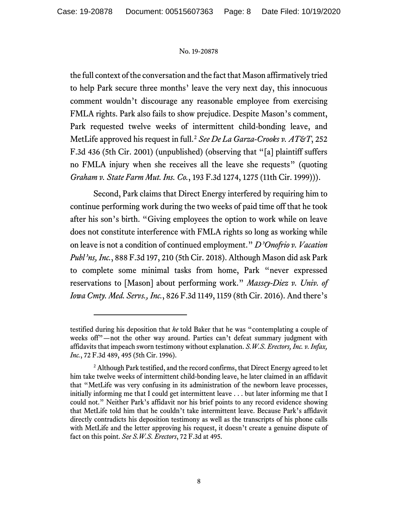the full context of the conversation and the fact that Mason affirmatively tried to help Park secure three months' leave the very next day, this innocuous comment wouldn't discourage any reasonable employee from exercising FMLA rights. Park also fails to show prejudice. Despite Mason's comment, Park requested twelve weeks of intermittent child-bonding leave, and MetLife approved his request in full.[2](#page-7-0) *See De La Garza-Crooks v. AT&T*, 252 F.3d 436 (5th Cir. 2001) (unpublished) (observing that "[a] plaintiff suffers no FMLA injury when she receives all the leave she requests" (quoting *Graham v. State Farm Mut. Ins. Co.*, 193 F.3d 1274, 1275 (11th Cir. 1999))).

Second, Park claims that Direct Energy interfered by requiring him to continue performing work during the two weeks of paid time off that he took after his son's birth. "Giving employees the option to work while on leave does not constitute interference with FMLA rights so long as working while on leave is not a condition of continued employment." *D'Onofrio v. Vacation Publ'ns, Inc.*, 888 F.3d 197, 210 (5th Cir. 2018). Although Mason did ask Park to complete some minimal tasks from home, Park "never expressed reservations to [Mason] about performing work." *Massey-Diez v. Univ. of Iowa Cmty. Med. Servs., Inc.*, 826 F.3d 1149, 1159 (8th Cir. 2016). And there's

testified during his deposition that *he* told Baker that he was "contemplating a couple of weeks off"-not the other way around. Parties can't defeat summary judgment with affidavits that impeach sworn testimony without explanation. *S.W.S. Erectors, Inc. v. Infax, Inc.*, 72 F.3d 489, 495 (5th Cir. 1996).

<span id="page-7-0"></span><sup>&</sup>lt;sup>2</sup> Although Park testified, and the record confirms, that Direct Energy agreed to let him take twelve weeks of intermittent child-bonding leave, he later claimed in an affidavit that "MetLife was very confusing in its administration of the newborn leave processes, initially informing me that I could get intermittent leave . . . but later informing me that I could not." Neither Park's affidavit nor his brief points to any record evidence showing that MetLife told him that he couldn't take intermittent leave. Because Park's affidavit directly contradicts his deposition testimony as well as the transcripts of his phone calls with MetLife and the letter approving his request, it doesn't create a genuine dispute of fact on this point. *See S.W.S. Erectors*, 72 F.3d at 495.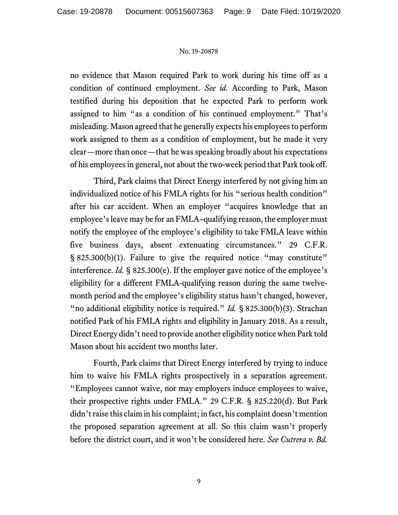no evidence that Mason required Park to work during his time off as a condition of continued employment. *See id.* According to Park, Mason testified during his deposition that he expected Park to perform work assigned to him "as a condition of his continued employment." That's misleading. Mason agreed that he generally expects his employees to perform work assigned to them as a condition of employment, but he made it very clear—more than once—that he was speaking broadly about his expectations of his employees in general, not about the two-week period that Park took off.

Third, Park claims that Direct Energy interfered by not giving him an individualized notice of his FMLA rights for his "serious health condition" after his car accident. When an employer "acquires knowledge that an employee's leave may be for an FMLA–qualifying reason, the employer must notify the employee of the employee's eligibility to take FMLA leave within five business days, absent extenuating circumstances." 29 C.F.R. § 825.300(b)(1). Failure to give the required notice "may constitute" interference. *Id.* § 825.300(e). If the employer gave notice of the employee's eligibility for a different FMLA-qualifying reason during the same twelvemonth period and the employee's eligibility status hasn't changed, however, "no additional eligibility notice is required." *Id.* § 825.300(b)(3). Strachan notified Park of his FMLA rights and eligibility in January 2018. As a result, Direct Energy didn't need to provide another eligibility notice when Park told Mason about his accident two months later.

Fourth, Park claims that Direct Energy interfered by trying to induce him to waive his FMLA rights prospectively in a separation agreement. "Employees cannot waive, nor may employers induce employees to waive, their prospective rights under FMLA." 29 C.F.R. § 825.220(d). But Park didn'traise this claim in his complaint; in fact, his complaint doesn't mention the proposed separation agreement at all. So this claim wasn't properly before the district court, and it won't be considered here. *See Cutrera v. Bd.*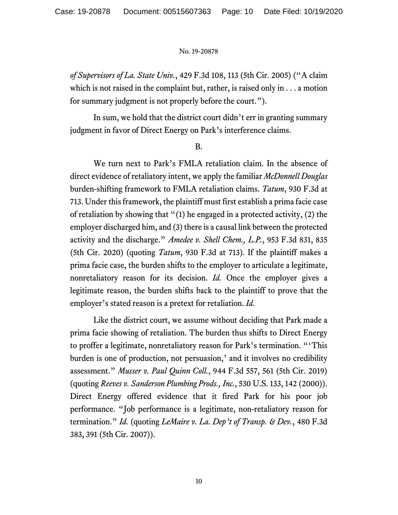*of Supervisors of La. State Univ.*, 429 F.3d 108, 113 (5th Cir. 2005) ("A claim which is not raised in the complaint but, rather, is raised only in . . . a motion for summary judgment is not properly before the court.").

In sum, we hold that the district court didn't err in granting summary judgment in favor of Direct Energy on Park's interference claims.

B.

We turn next to Park's FMLA retaliation claim. In the absence of direct evidence of retaliatory intent, we apply the familiar *McDonnell Douglas* burden-shifting framework to FMLA retaliation claims. *Tatum*, 930 F.3d at 713. Under this framework, the plaintiff must first establish a prima facie case of retaliation by showing that "(1) he engaged in a protected activity, (2) the employer discharged him, and (3) there is a causal link between the protected activity and the discharge." *Amedee v. Shell Chem., L.P.*, 953 F.3d 831, 835 (5th Cir. 2020) (quoting *Tatum*, 930 F.3d at 713). If the plaintiff makes a prima facie case, the burden shifts to the employer to articulate a legitimate, nonretaliatory reason for its decision. *Id.* Once the employer gives a legitimate reason, the burden shifts back to the plaintiff to prove that the employer's stated reason is a pretext for retaliation. *Id.*

Like the district court, we assume without deciding that Park made a prima facie showing of retaliation. The burden thus shifts to Direct Energy to proffer a legitimate, nonretaliatory reason for Park's termination. "'This burden is one of production, not persuasion,' and it involves no credibility assessment." *Musser v. Paul Quinn Coll.*, 944 F.3d 557, 561 (5th Cir. 2019) (quoting *Reeves v. Sanderson Plumbing Prods., Inc.*, 530 U.S. 133, 142 (2000)). Direct Energy offered evidence that it fired Park for his poor job performance. "Job performance is a legitimate, non-retaliatory reason for termination." *Id.* (quoting *LeMaire v. La. Dep't of Transp. & Dev.*, 480 F.3d 383, 391 (5th Cir. 2007)).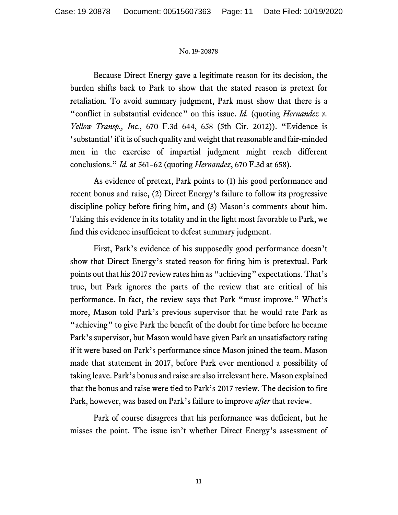Because Direct Energy gave a legitimate reason for its decision, the burden shifts back to Park to show that the stated reason is pretext for retaliation. To avoid summary judgment, Park must show that there is a "conflict in substantial evidence" on this issue. *Id.* (quoting *Hernandez v. Yellow Transp., Inc.*, 670 F.3d 644, 658 (5th Cir. 2012)). "Evidence is 'substantial' if it is of such quality and weight that reasonable and fair-minded men in the exercise of impartial judgment might reach different conclusions." *Id.* at 561–62 (quoting *Hernandez*, 670 F.3d at 658).

As evidence of pretext, Park points to (1) his good performance and recent bonus and raise, (2) Direct Energy's failure to follow its progressive discipline policy before firing him, and (3) Mason's comments about him. Taking this evidence in its totality and in the light most favorable to Park, we find this evidence insufficient to defeat summary judgment.

First, Park's evidence of his supposedly good performance doesn't show that Direct Energy's stated reason for firing him is pretextual. Park points out that his 2017 review rates him as "achieving" expectations. That's true, but Park ignores the parts of the review that are critical of his performance. In fact, the review says that Park "must improve." What's more, Mason told Park's previous supervisor that he would rate Park as "achieving" to give Park the benefit of the doubt for time before he became Park's supervisor, but Mason would have given Park an unsatisfactory rating if it were based on Park's performance since Mason joined the team. Mason made that statement in 2017, before Park ever mentioned a possibility of taking leave. Park's bonus and raise are also irrelevant here. Mason explained that the bonus and raise were tied to Park's 2017 review. The decision to fire Park, however, was based on Park's failure to improve *after* that review.

Park of course disagrees that his performance was deficient, but he misses the point. The issue isn't whether Direct Energy's assessment of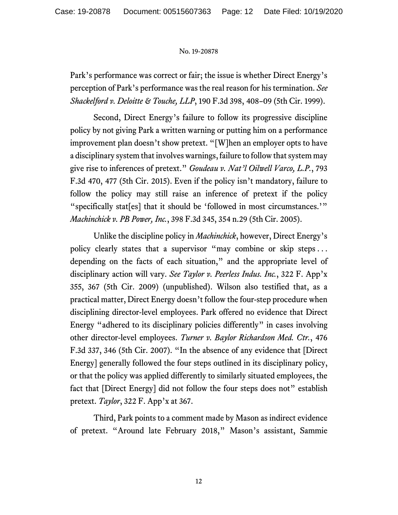Park's performance was correct or fair; the issue is whether Direct Energy's perception of Park's performance was the real reason for his termination. *See Shackelford v. Deloitte & Touche, LLP*, 190 F.3d 398, 408–09 (5th Cir. 1999).

Second, Direct Energy's failure to follow its progressive discipline policy by not giving Park a written warning or putting him on a performance improvement plan doesn't show pretext. "[W]hen an employer opts to have a disciplinary system that involves warnings, failure to follow that system may give rise to inferences of pretext." *Goudeau v. Nat'l Oilwell Varco, L.P.*, 793 F.3d 470, 477 (5th Cir. 2015). Even if the policy isn't mandatory, failure to follow the policy may still raise an inference of pretext if the policy "specifically stat[es] that it should be 'followed in most circumstances.'" *Machinchick v. PB Power, Inc.*, 398 F.3d 345, 354 n.29 (5th Cir. 2005).

Unlike the discipline policy in *Machinchick*, however, Direct Energy's policy clearly states that a supervisor "may combine or skip steps . . . depending on the facts of each situation," and the appropriate level of disciplinary action will vary. *See Taylor v. Peerless Indus. Inc.*, 322 F. App'x 355, 367 (5th Cir. 2009) (unpublished). Wilson also testified that, as a practical matter, Direct Energy doesn't follow the four-step procedure when disciplining director-level employees. Park offered no evidence that Direct Energy "adhered to its disciplinary policies differently" in cases involving other director-level employees. *Turner v. Baylor Richardson Med. Ctr.*, 476 F.3d 337, 346 (5th Cir. 2007). "In the absence of any evidence that [Direct Energy] generally followed the four steps outlined in its disciplinary policy, or that the policy was applied differently to similarly situated employees, the fact that [Direct Energy] did not follow the four steps does not" establish pretext. *Taylor*, 322 F. App'x at 367.

Third, Park points to a comment made by Mason as indirect evidence of pretext. "Around late February 2018," Mason's assistant, Sammie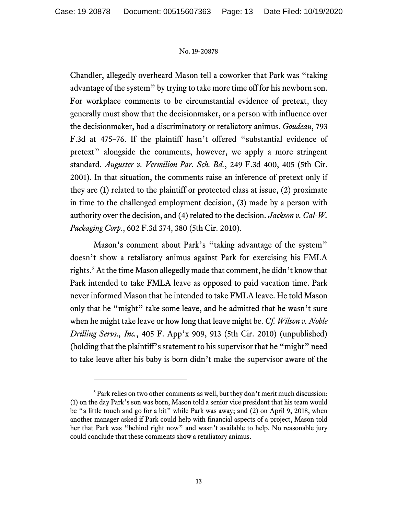Chandler, allegedly overheard Mason tell a coworker that Park was "taking advantage of the system" by trying to take more time off for his newborn son. For workplace comments to be circumstantial evidence of pretext, they generally must show that the decisionmaker, or a person with influence over the decisionmaker, had a discriminatory or retaliatory animus. *Goudeau*, 793 F.3d at 475–76. If the plaintiff hasn't offered "substantial evidence of pretext" alongside the comments, however, we apply a more stringent standard. *Auguster v. Vermilion Par. Sch. Bd.*, 249 F.3d 400, 405 (5th Cir. 2001). In that situation, the comments raise an inference of pretext only if they are (1) related to the plaintiff or protected class at issue, (2) proximate in time to the challenged employment decision, (3) made by a person with authority over the decision, and (4) related to the decision. *Jackson v. Cal-W. Packaging Corp.*, 602 F.3d 374, 380 (5th Cir. 2010).

Mason's comment about Park's "taking advantage of the system" doesn't show a retaliatory animus against Park for exercising his FMLA rights. [3](#page-12-0)At the time Mason allegedly made that comment, he didn't know that Park intended to take FMLA leave as opposed to paid vacation time. Park never informed Mason that he intended to take FMLA leave. He told Mason only that he "might" take some leave, and he admitted that he wasn't sure when he might take leave or how long that leave might be. *Cf. Wilson v. Noble Drilling Servs., Inc.*, 405 F. App'x 909, 913 (5th Cir. 2010) (unpublished) (holding that the plaintiff's statement to his supervisor that he "might" need to take leave after his baby is born didn't make the supervisor aware of the

<span id="page-12-0"></span><sup>&</sup>lt;sup>3</sup> Park relies on two other comments as well, but they don't merit much discussion: (1) on the day Park's son was born, Mason told a senior vice president that his team would be "a little touch and go for a bit" while Park was away; and (2) on April 9, 2018, when another manager asked if Park could help with financial aspects of a project, Mason told her that Park was "behind right now" and wasn't available to help. No reasonable jury could conclude that these comments show a retaliatory animus.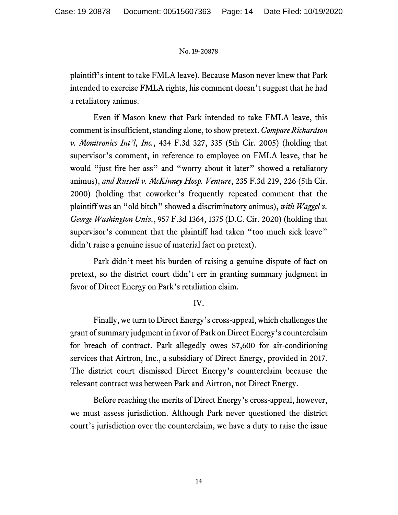plaintiff's intent to take FMLA leave). Because Mason never knew that Park intended to exercise FMLA rights, his comment doesn't suggest that he had a retaliatory animus.

Even if Mason knew that Park intended to take FMLA leave, this comment is insufficient, standing alone, to show pretext. *Compare Richardson v. Monitronics Int'l, Inc.*, 434 F.3d 327, 335 (5th Cir. 2005) (holding that supervisor's comment, in reference to employee on FMLA leave, that he would "just fire her ass" and "worry about it later" showed a retaliatory animus), *and Russell v. McKinney Hosp. Venture*, 235 F.3d 219, 226 (5th Cir. 2000) (holding that coworker's frequently repeated comment that the plaintiff was an "old bitch" showed a discriminatory animus), *with Waggel v. George Washington Univ.*, 957 F.3d 1364, 1375 (D.C. Cir. 2020) (holding that supervisor's comment that the plaintiff had taken "too much sick leave" didn't raise a genuine issue of material fact on pretext).

Park didn't meet his burden of raising a genuine dispute of fact on pretext, so the district court didn't err in granting summary judgment in favor of Direct Energy on Park's retaliation claim.

# IV.

Finally, we turn to Direct Energy's cross-appeal, which challenges the grant of summary judgment in favor of Park on Direct Energy's counterclaim for breach of contract. Park allegedly owes \$7,600 for air-conditioning services that Airtron, Inc., a subsidiary of Direct Energy, provided in 2017. The district court dismissed Direct Energy's counterclaim because the relevant contract was between Park and Airtron, not Direct Energy.

Before reaching the merits of Direct Energy's cross-appeal, however, we must assess jurisdiction. Although Park never questioned the district court's jurisdiction over the counterclaim, we have a duty to raise the issue